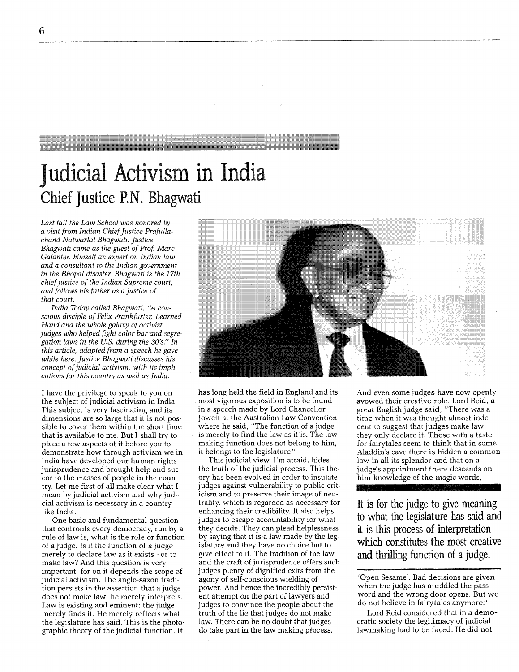## Judicial Activism in India **Chief Justice** P.N. **Bhagwati**

*Last fall the Law School was honored by a visit (rom Indian Chiefjustice Praiullachand Natwarlal Bhagwati. Justice Bhagwati came as the guest of Prof Marc Galanter, himself an expert on Indian law and a consultant to the Indian government in the Bhopal disaster. Bhagwati is the 17th chief justice of the Indian Supreme court, and follows his father as a justice of that court.*

India Today called Bhagwati, "A con*scious disciple of Felix Frankfurter, Learned Hand and the whole galaxy of activist judges who helped fight color bar and segregation laws in the US. during the 30's." In this article, adapted (rom a speech he gave while here, Justice Bhagwati discusses his concept of judicial activism, with its implications for this country as well as India.*

I have the privilege to speak to you on the subject of judicial activism in India. This subject is very fascinating and its dimensions are so large that it is not possible to cover them within the short time that is available to me. But I shall try to place a few aspects of it before you to demonstrate how through activism we in India have developed our human rights jurisprudence and brought help and succor to the masses of people in the country. Let me first of all make clear what I mean by judicial activism and why judicial activism is necessary in a country like India.

One basic and fundamental question that confronts every democracy, run by a rule of law is, what is the role or function of a judge. Is it the function of a judge merely to declare law as it exists-or to make law? And this question is very important, for on it depends the scope of judicial activism. The anglo-saxon tradition persists in the assertion that a judge does not make law; he merely interprets. Law is existing and eminent; the judge merely finds it. He merely reflects what the legislature has said. This is the photographic theory of the judicial function. It



has long held the field in England and its most vigorous exposition is to be found in a speech made by Lord Chancellor Jowett at the Australian Law Convention where he said, "The function of a judge is merely to find the law as it is. The lawmaking function does not belong to him, it belongs to the legislature."

This judicial view, I'm afraid, hides the truth of the judicial process. This theory has been evolved in order to insulate judges against vulnerability to public criticism and to preserve their image of neutrality, which is regarded as necessary for enhancing their credibility. It also helps judges to escape accountability for what they decide. They can plead helplessness by saying that it is a law made by the legislature and they have no choice but to give effect to it. The tradition of the law and the craft of jurisprudence offers such judges plenty of dignified exits from the agony of self-conscious wielding of power. And hence the incredibly persistent attempt on the part of lawyers and judges to convince the people about the truth of the lie that judges do not make law. There can be no doubt that judges do take part in the law making process.

And even some judges have now openly avowed their creative role. Lord Reid, a great English judge said, "There was a time when it was thought almost indecent to suggest that judges make law; they only declare it. Those with a taste for fairytales seem to think that in some Aladdin's cave there is hidden a common law in all its splendor and that on a judge's appointment there descends on him knowledge of the magic words,

It **is for the judge to give meaning to what the legislature has said and it is this process of interpretation which constitutes the most creative and thrilling function of a judge.**

'Open Sesame'. Bad decisions are given when the judge has muddled the password and the wrong door opens. But we do not believe in fairy tales anymore."

Lord Reid considered that in a democratic society the legitimacy of judicial lawmaking had to be faced. He did not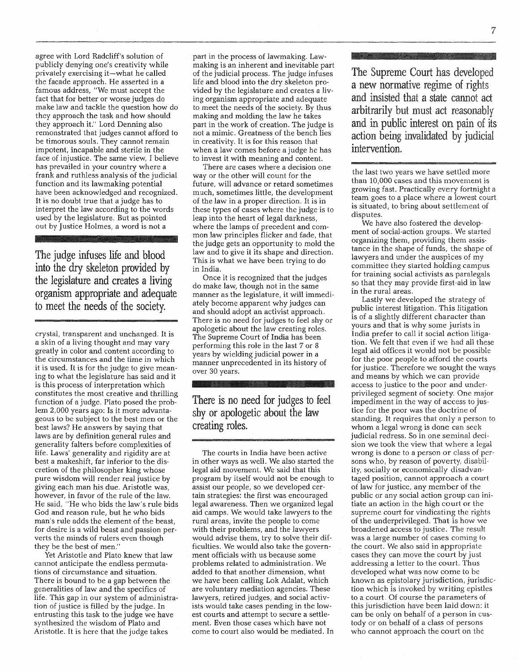agree with Lord Radcliff's solution of publicly denying one's creativity while privately exercising it-what he called the facade approach. He asserted in a famous address, "We must accept the fact that for better or worse judges do make law and tackle the question how do they approach the task and how should they approach it." Lord Denning also remonstrated that judges cannot afford to be timorous souls. They cannot remain impotent, incapable and sterile in the face of injustice. The same view, I believe has prevailed in your country where a frank and ruthless analysis of the judicial function and its lawmaking potential have been acknowledged and recognized. It is no doubt true that a judge has to interpret the law according to the words used by the legislature. But as pointed out by Justice Holmes, a word is not a

The judge infuses life and blood into the dry skeleton provided by the legislature and creates a living organism appropriate and adequate to meet the needs of the society.

crystal, transparent and unchanged. It is a skin of a living thought and may vary greatly in color and content according to the circumstances and the time in which it is used. It is for the judge to give meaning to what the legislature has said and it is this process of interpretation which constitutes the most creative and thrilling function of a judge. Plato posed the problem 2,000 years ago: Is it more advantageous to be subject to the best men or the best laws? He answers by saying that laws are by definition general rules and generality falters before complexities of life. Laws' generality and rigidity are at best a makeshift, far inferior to the discretion of the philosopher king whose pure wisdom will render real justice by giving each man his due. Aristotle was, however, in favor of the rule of the law. He said, "He who bids the law's rule bids God and reason rule, but he who bids man's rule adds the element of the beast, for desire is a wild beast and passion perverts the minds of rulers even though they be the best of men.'

Yet Aristotle and Plato knew that law cannot anticipate the endless permutations of circumstance and situation. There is bound to be a gap between the generalities of law and the specifics of life. This gap in our system of administration of justice is filled by the judge. In entrusting this task to the judge we have synthesized the wisdom of Plato and Aristotle. It is here that the judge takes

part in the process of lawmaking. Lawmaking is an inherent and inevitable part of the judicial process. The judge infuses life and blood into the dry skeleton provided by the legislature and creates a living organism appropriate and adequate to meet the needs of the society. By thus making and molding the law he takes part in the work of creation. The judge is not a mimic. Greatness of the bench lies in creativity. It is for this reason that when a law comes before a judge he has to invest it with meaning and content.

There are cases where a decision one way or the other will count for the future, will advance or retard sometimes much, sometimes little, the development of the law in a proper direction. It is in these types of cases where the judge is to leap into the heart of legal darkness, where the lamps of precedent and common law principles flicker and fade, that the judge gets an opportunity to mold the law and to give it its shape and direction. This is what we have been trying to do in India.

Once it is recognized that the judges do make law, though not in the same manner as the legislature, it will immediately become apparent why judges can and should adopt an activist approach. There is no need for judges to feel shy or apologetic about the law creating roles. The Supreme Court of India has been performing this role in the last 7 or 8 years by wielding judicial power in a manner unprecedented in its history of over 30 years.

There is no need for judges to feel shy or apologetic about the law creating roles.

The courts in India have been active in other ways as well. We also started the legal aid movement. We said that this program by itself would not be enough to assist our people, so we developed certain strategies: the first was encouraged legal awareness. Then we organized legal aid camps. We would take lawyers to the rural areas, invite the people to come with their problems, and the lawyers would advise them, try to solve their difficulties. We would also take the government officials with us because some problems related to administration. We added to that another dimension, what we have been calling Lok Adalat, which are voluntary mediation agencies. These lawyers, retired judges, and social activists would take cases pending in the lowest courts and attempt to secure a settlement. Even those cases which have not come to court also would be mediated. In

The Supreme Court has developed a new normative regime of rights and insisted that a state cannot act arbitrarily but must act reasonably and in public interest on pain of its action being invalidated by judicial intervention.

the last two years we have settled more than 10,000 cases and this movement is growing fast. Practically every fortnight a team goes to a place where a lowest court is situated, to bring about settlement of disputes.

We have also fostered the development of social-action groups. We started organizing them, providing them assistance in the shape of funds, the shape of lawyers and under the auspices of my committee they started holding campus for training social activists as paralegals so that they may provide first-aid in law in the rural areas.

Lastly we developed the strategy of public interest litigation. This litigation is of a slightly different character than yours and that is why some jurists in India prefer to call it social action litigation. We felt that even if we had all these legal aid offices it would not be possible for the poor people to afford the courts for justice. Therefore we sought the ways and means by which we can provide access to justice to the poor and underprivileged segment of society. One major impediment in the way of access to justice for the poor was the doctrine of standing. It requires that only a person to whom a legal wrong is done can seek judicial redress. So in one seminal decision we took the view that where a legal wrong is done to a person or class of persons who, by reason of poverty, disability, socially or economically disadvantaged position, cannot approach a court of law for justice, any member of the public or any social action group can initiate an action in the high court or the supreme court for vindicating the rights of the underprivileged. That is how we broadened access to justice. The result was a large number of cases coming to the court. We also said in appropriate cases they can move the court by just addressing a letter to the court. Thus developed what was now come to be known as epistolary jurisdiction, jurisdiction which is invoked by writing epistles to a court. Of course the parameters of this jurisdiction have been laid down: it can be only on behalf of a person in custody or on behalf of a class of persons who cannot approach the court on the